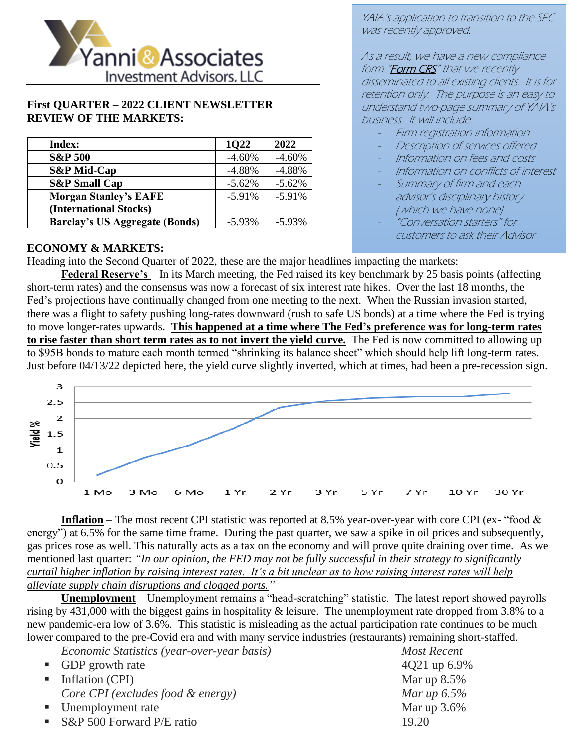

#### **First QUARTER – 2022 CLIENT NEWSLETTER REVIEW OF THE MARKETS:**

| Index:                                | 1022     | 2022     |
|---------------------------------------|----------|----------|
| <b>S&amp;P 500</b>                    | $-4.60%$ | $-4.60%$ |
| <b>S&amp;P</b> Mid-Cap                | $-4.88%$ | $-4.88%$ |
| <b>S&amp;P</b> Small Cap              | $-5.62%$ | $-5.62%$ |
| <b>Morgan Stanley's EAFE</b>          | $-5.91%$ | $-5.91%$ |
| (International Stocks)                |          |          |
| <b>Barclay's US Aggregate (Bonds)</b> | $-5.93%$ | $-5.93%$ |

YAIA's application to transition to the SEC was recently approved.

As a result, we have a new compliance form "Form CRS" that we recently disseminated to all existing clients. It is for retention only. The purpose is an easy to understand two-page summary of YAIA's business. It will include:

- Firm registration information
- Description of services offered
- Information on fees and costs
- Information on conflicts of interest
- Summary of firm and each advisor's disciplinary history (which we have none)
- "Conversation starters" for customers to ask their Advisor

#### **ECONOMY & MARKETS:**

Heading into the Second Quarter of 2022, these are the major headlines impacting the markets:

**Federal Reserve's** – In its March meeting, the Fed raised its key benchmark by 25 basis points (affecting short-term rates) and the consensus was now a forecast of six interest rate hikes. Over the last 18 months, the Fed's projections have continually changed from one meeting to the next. When the Russian invasion started, there was a flight to safety pushing long-rates downward (rush to safe US bonds) at a time where the Fed is trying to move longer-rates upwards. **This happened at a time where The Fed's preference was for long-term rates to rise faster than short term rates as to not invert the yield curve.** The Fed is now committed to allowing up to \$95B bonds to mature each month termed "shrinking its balance sheet" which should help lift long-term rates. Just before 04/13/22 depicted here, the yield curve slightly inverted, which at times, had been a pre-recession sign.



**Inflation** – The most recent CPI statistic was reported at 8.5% year-over-year with core CPI (ex- "food & energy") at 6.5% for the same time frame. During the past quarter, we saw a spike in oil prices and subsequently, gas prices rose as well. This naturally acts as a tax on the economy and will prove quite draining over time. As we mentioned last quarter: *"In our opinion, the FED may not be fully successful in their strategy to significantly curtail higher inflation by raising interest rates. It's a bit unclear as to how raising interest rates will help alleviate supply chain disruptions and clogged ports."*

**Unemployment** – Unemployment remains a "head-scratching" statistic. The latest report showed payrolls rising by 431,000 with the biggest gains in hospitality & leisure. The unemployment rate dropped from 3.8% to a new pandemic-era low of 3.6%. This statistic is misleading as the actual participation rate continues to be much lower compared to the pre-Covid era and with many service industries (restaurants) remaining short-staffed.

| Economic Statistics (year-over-year basis) | <b>Most Recent</b> |
|--------------------------------------------|--------------------|
| • GDP growth rate                          | 4Q21 up 6.9%       |
| $\blacksquare$ Inflation (CPI)             | Mar up $8.5\%$     |
| Core CPI (excludes food & energy)          | Mar up $6.5\%$     |
| • Unemployment rate                        | Mar up $3.6\%$     |
| S&P 500 Forward $P/E$ ratio                | 19.20              |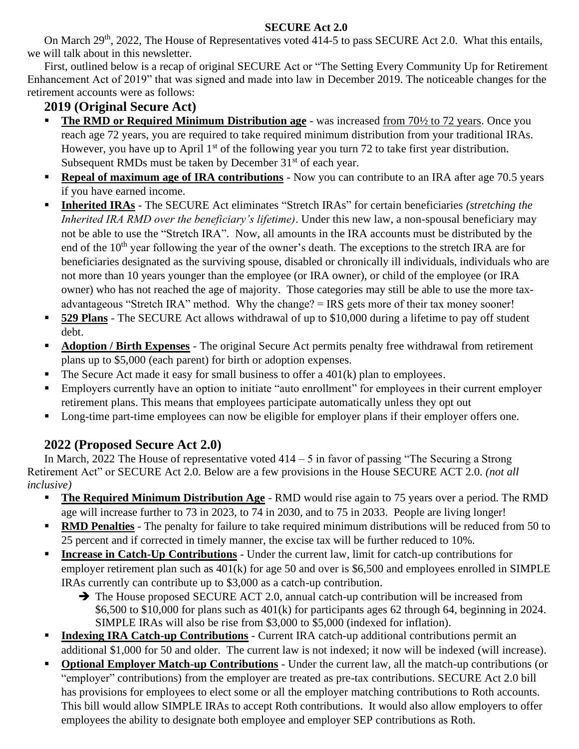### **SECURE Act 2.0**

On March 29<sup>th</sup>, 2022, The House of Representatives voted 414-5 to pass SECURE Act 2.0. What this entails, we will talk about in this newsletter.

First, outlined below is a recap of original SECURE Act or "The Setting Every Community Up for Retirement Enhancement Act of 2019" that was signed and made into law in December 2019. The noticeable changes for the retirement accounts were as follows:

## **2019 (Original Secure Act)**

- **The RMD or Required Minimum Distribution age** was increased from 70<sup>1</sup>/<sub>2</sub> to 72 years. Once you reach age 72 years, you are required to take required minimum distribution from your traditional IRAs. However, you have up to April  $1<sup>st</sup>$  of the following year you turn 72 to take first year distribution. Subsequent RMDs must be taken by December  $31<sup>st</sup>$  of each year.
- **Repeal of maximum age of IRA contributions** Now you can contribute to an IRA after age 70.5 years if you have earned income.
- **Inherited IRAs** The SECURE Act eliminates "Stretch IRAs" for certain beneficiaries *(stretching the Inherited IRA RMD over the beneficiary's lifetime)*. Under this new law, a non-spousal beneficiary may not be able to use the "Stretch IRA". Now, all amounts in the IRA accounts must be distributed by the end of the 10<sup>th</sup> year following the year of the owner's death. The exceptions to the stretch IRA are for beneficiaries designated as the surviving spouse, disabled or chronically ill individuals, individuals who are not more than 10 years younger than the employee (or IRA owner), or child of the employee (or IRA owner) who has not reached the age of majority. Those categories may still be able to use the more taxadvantageous "Stretch IRA" method. Why the change? = IRS gets more of their tax money sooner!
- **529 Plans** The SECURE Act allows withdrawal of up to \$10,000 during a lifetime to pay off student debt.
- **Adoption / Birth Expenses** The original Secure Act permits penalty free withdrawal from retirement plans up to \$5,000 (each parent) for birth or adoption expenses.
- $\blacksquare$  The Secure Act made it easy for small business to offer a 401 $(k)$  plan to employees.
- Employers currently have an option to initiate "auto enrollment" for employees in their current employer retirement plans. This means that employees participate automatically unless they opt out
- Long-time part-time employees can now be eligible for employer plans if their employer offers one.

# **2022 (Proposed Secure Act 2.0)**

In March, 2022 The House of representative voted  $414 - 5$  in favor of passing "The Securing a Strong" Retirement Act" or SECURE Act 2.0. Below are a few provisions in the House SECURE ACT 2.0. *(not all inclusive)*

- **The Required Minimum Distribution Age** RMD would rise again to 75 years over a period. The RMD age will increase further to 73 in 2023, to 74 in 2030, and to 75 in 2033. People are living longer!
- **RMD Penalties** The penalty for failure to take required minimum distributions will be reduced from 50 to 25 percent and if corrected in timely manner, the excise tax will be further reduced to 10%.
- **Increase in Catch-Up Contributions** Under the current law, limit for catch-up contributions for employer retirement plan such as 401(k) for age 50 and over is \$6,500 and employees enrolled in SIMPLE IRAs currently can contribute up to \$3,000 as a catch-up contribution.
	- ➔ The House proposed SECURE ACT 2.0, annual catch-up contribution will be increased from \$6,500 to \$10,000 for plans such as 401(k) for participants ages 62 through 64, beginning in 2024. SIMPLE IRAs will also be rise from \$3,000 to \$5,000 (indexed for inflation).
- **Indexing IRA Catch-up Contributions** Current IRA catch-up additional contributions permit an additional \$1,000 for 50 and older. The current law is not indexed; it now will be indexed (will increase).
- **Optional Employer Match-up Contributions** Under the current law, all the match-up contributions (or "employer" contributions) from the employer are treated as pre-tax contributions. SECURE Act 2.0 bill has provisions for employees to elect some or all the employer matching contributions to Roth accounts. This bill would allow SIMPLE IRAs to accept Roth contributions. It would also allow employers to offer employees the ability to designate both employee and employer SEP contributions as Roth.